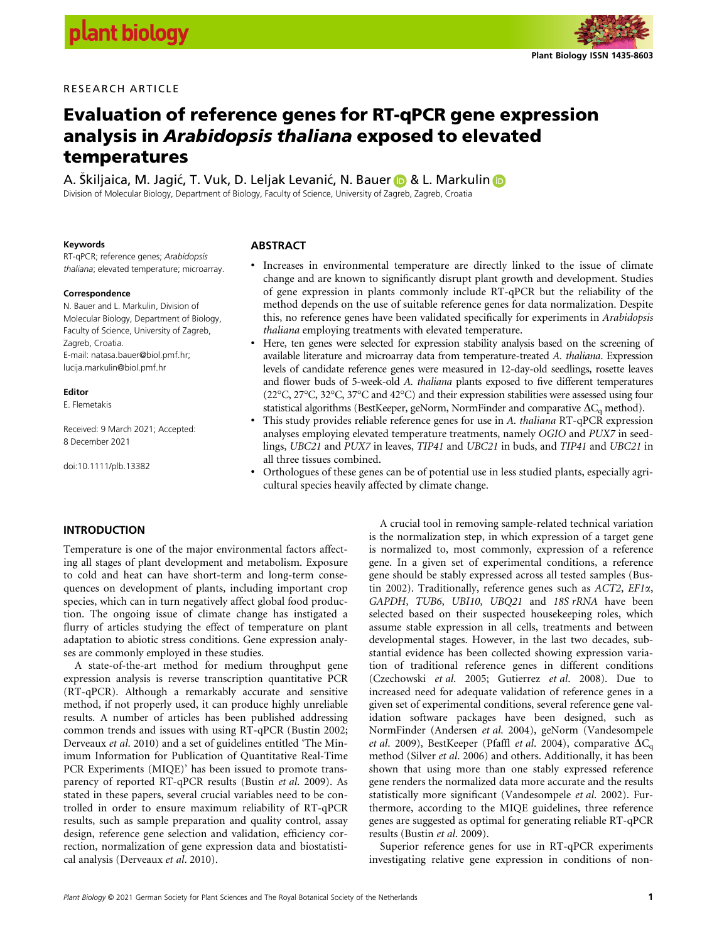# RESEARCH ARTICLE



# Evaluation of reference genes for RT-qPCR gene expression analysis in Arabidopsis thaliana exposed to elevated temperatures

A. Skiljaica, M. Jagić, T. Vuk, D. Leljak Levanić, N. Bauer **@** & L. Markulin **@** Division of Molecular Biology, Department of Biology, Faculty of Science, University of Zagreb, Zagreb, Croatia

#### Keywords

RT-qPCR; reference genes; Arabidopsis thaliana; elevated temperature; microarray.

#### Correspondence

N. Bauer and L. Markulin, Division of Molecular Biology, Department of Biology, Faculty of Science, University of Zagreb, Zagreb, Croatia. E-mail: natasa.bauer@biol.pmf.hr; lucija.markulin@biol.pmf.hr

#### Editor

E. Flemetakis

Received: 9 March 2021; Accepted: 8 December 2021

doi:10.1111/plb.13382

#### ABSTRACT

- Increases in environmental temperature are directly linked to the issue of climate change and are known to significantly disrupt plant growth and development. Studies of gene expression in plants commonly include RT-qPCR but the reliability of the method depends on the use of suitable reference genes for data normalization. Despite this, no reference genes have been validated specifically for experiments in Arabidopsis thaliana employing treatments with elevated temperature.
- Here, ten genes were selected for expression stability analysis based on the screening of available literature and microarray data from temperature-treated A. thaliana. Expression levels of candidate reference genes were measured in 12-day-old seedlings, rosette leaves and flower buds of 5-week-old A. thaliana plants exposed to five different temperatures (22°C, 27°C, 32°C, 37°C and 42°C) and their expression stabilities were assessed using four statistical algorithms (BestKeeper, geNorm, NormFinder and comparative  $\Delta C_q$  method).
- This study provides reliable reference genes for use in A. thaliana RT-qPCR expression analyses employing elevated temperature treatments, namely OGIO and PUX7 in seedlings, UBC21 and PUX7 in leaves, TIP41 and UBC21 in buds, and TIP41 and UBC21 in all three tissues combined.
- Orthologues of these genes can be of potential use in less studied plants, especially agricultural species heavily affected by climate change.

## **INTRODUCTION**

Temperature is one of the major environmental factors affecting all stages of plant development and metabolism. Exposure to cold and heat can have short-term and long-term consequences on development of plants, including important crop species, which can in turn negatively affect global food production. The ongoing issue of climate change has instigated a flurry of articles studying the effect of temperature on plant adaptation to abiotic stress conditions. Gene expression analyses are commonly employed in these studies.

A state-of-the-art method for medium throughput gene expression analysis is reverse transcription quantitative PCR (RT-qPCR). Although a remarkably accurate and sensitive method, if not properly used, it can produce highly unreliable results. A number of articles has been published addressing common trends and issues with using RT-qPCR (Bustin 2002; Derveaux et al. 2010) and a set of guidelines entitled 'The Minimum Information for Publication of Quantitative Real-Time PCR Experiments (MIQE)' has been issued to promote transparency of reported RT-qPCR results (Bustin et al. 2009). As stated in these papers, several crucial variables need to be controlled in order to ensure maximum reliability of RT-qPCR results, such as sample preparation and quality control, assay design, reference gene selection and validation, efficiency correction, normalization of gene expression data and biostatistical analysis (Derveaux et al. 2010).

A crucial tool in removing sample-related technical variation is the normalization step, in which expression of a target gene is normalized to, most commonly, expression of a reference gene. In a given set of experimental conditions, a reference gene should be stably expressed across all tested samples (Bustin 2002). Traditionally, reference genes such as ACT2, EF1a, GAPDH, TUB6, UBI10, UBQ21 and 18S rRNA have been selected based on their suspected housekeeping roles, which assume stable expression in all cells, treatments and between developmental stages. However, in the last two decades, substantial evidence has been collected showing expression variation of traditional reference genes in different conditions (Czechowski et al. 2005; Gutierrez et al. 2008). Due to increased need for adequate validation of reference genes in a given set of experimental conditions, several reference gene validation software packages have been designed, such as NormFinder (Andersen et al. 2004), geNorm (Vandesompele et al. 2009), BestKeeper (Pfaffl et al. 2004), comparative  $\Delta C_{q}$ method (Silver et al. 2006) and others. Additionally, it has been shown that using more than one stably expressed reference gene renders the normalized data more accurate and the results statistically more significant (Vandesompele et al. 2002). Furthermore, according to the MIQE guidelines, three reference genes are suggested as optimal for generating reliable RT-qPCR results (Bustin et al. 2009).

Superior reference genes for use in RT-qPCR experiments investigating relative gene expression in conditions of non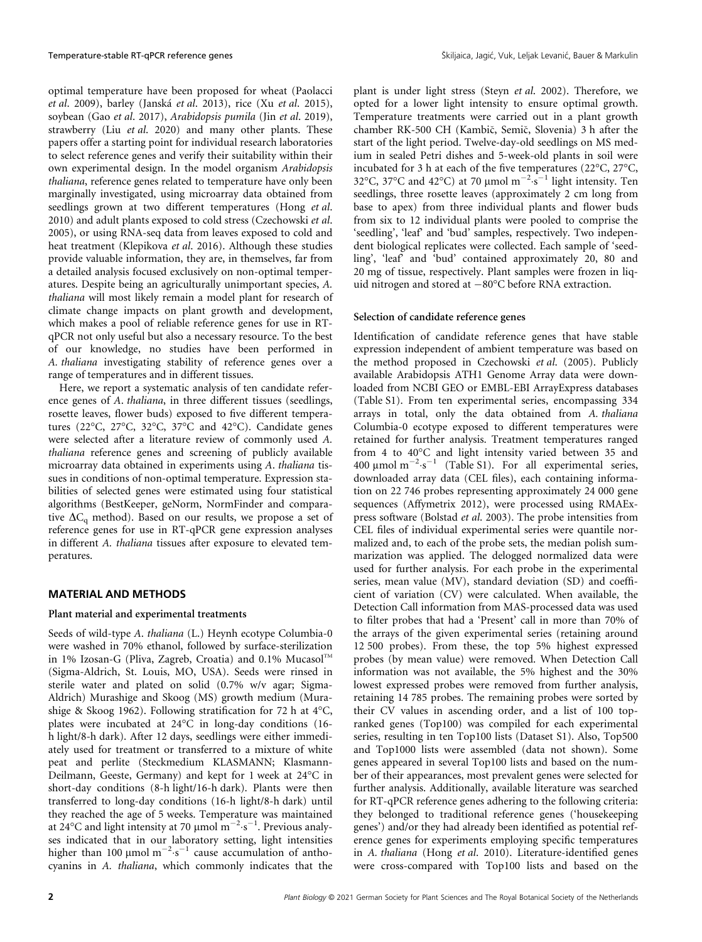optimal temperature have been proposed for wheat (Paolacci et al. 2009), barley (Janska et al. 2013), rice (Xu et al. 2015), soybean (Gao et al. 2017), Arabidopsis pumila (Jin et al. 2019), strawberry (Liu et al. 2020) and many other plants. These papers offer a starting point for individual research laboratories to select reference genes and verify their suitability within their own experimental design. In the model organism Arabidopsis thaliana, reference genes related to temperature have only been marginally investigated, using microarray data obtained from seedlings grown at two different temperatures (Hong et al. 2010) and adult plants exposed to cold stress (Czechowski et al. 2005), or using RNA-seq data from leaves exposed to cold and heat treatment (Klepikova et al. 2016). Although these studies provide valuable information, they are, in themselves, far from a detailed analysis focused exclusively on non-optimal temperatures. Despite being an agriculturally unimportant species, A. thaliana will most likely remain a model plant for research of climate change impacts on plant growth and development, which makes a pool of reliable reference genes for use in RTqPCR not only useful but also a necessary resource. To the best of our knowledge, no studies have been performed in A. thaliana investigating stability of reference genes over a range of temperatures and in different tissues.

Here, we report a systematic analysis of ten candidate reference genes of A. thaliana, in three different tissues (seedlings, rosette leaves, flower buds) exposed to five different temperatures (22°C, 27°C, 32°C, 37°C and 42°C). Candidate genes were selected after a literature review of commonly used A. thaliana reference genes and screening of publicly available microarray data obtained in experiments using A. thaliana tissues in conditions of non-optimal temperature. Expression stabilities of selected genes were estimated using four statistical algorithms (BestKeeper, geNorm, NormFinder and comparative  $\Delta C_{q}$  method). Based on our results, we propose a set of reference genes for use in RT-qPCR gene expression analyses in different A. thaliana tissues after exposure to elevated temperatures.

# MATERIAL AND METHODS

## Plant material and experimental treatments

Seeds of wild-type A. thaliana (L.) Heynh ecotype Columbia-0 were washed in 70% ethanol, followed by surface-sterilization in 1% Izosan-G (Pliva, Zagreb, Croatia) and 0.1%  $Mucasol<sup>TM</sup>$ (Sigma-Aldrich, St. Louis, MO, USA). Seeds were rinsed in sterile water and plated on solid (0.7% w/v agar; Sigma-Aldrich) Murashige and Skoog (MS) growth medium (Murashige & Skoog 1962). Following stratification for 72 h at 4°C, plates were incubated at 24°C in long-day conditions (16 h light/8-h dark). After 12 days, seedlings were either immediately used for treatment or transferred to a mixture of white peat and perlite (Steckmedium KLASMANN; Klasmann-Deilmann, Geeste, Germany) and kept for 1 week at 24°C in short-day conditions (8-h light/16-h dark). Plants were then transferred to long-day conditions (16-h light/8-h dark) until they reached the age of 5 weeks. Temperature was maintained at 24°C and light intensity at 70  $\mu$ mol m<sup>-2</sup> s<sup>-1</sup>. Previous analyses indicated that in our laboratory setting, light intensities higher than 100  $\mu$ mol m<sup>-2</sup> s<sup>-1</sup> cause accumulation of anthocyanins in A. thaliana, which commonly indicates that the plant is under light stress (Steyn et al. 2002). Therefore, we opted for a lower light intensity to ensure optimal growth. Temperature treatments were carried out in a plant growth chamber RK-500 CH (Kambic, Semic, Slovenia) 3 h after the start of the light period. Twelve-day-old seedlings on MS medium in sealed Petri dishes and 5-week-old plants in soil were incubated for 3 h at each of the five temperatures (22°C, 27°C, 32°C, 37°C and 42°C) at 70 µmol m<sup>-2</sup> s<sup>-1</sup> light intensity. Ten seedlings, three rosette leaves (approximately 2 cm long from base to apex) from three individual plants and flower buds from six to 12 individual plants were pooled to comprise the 'seedling', 'leaf' and 'bud' samples, respectively. Two independent biological replicates were collected. Each sample of 'seedling', 'leaf' and 'bud' contained approximately 20, 80 and 20 mg of tissue, respectively. Plant samples were frozen in liquid nitrogen and stored at  $-80^{\circ}$ C before RNA extraction.

## Selection of candidate reference genes

Identification of candidate reference genes that have stable expression independent of ambient temperature was based on the method proposed in Czechowski et al. (2005). Publicly available Arabidopsis ATH1 Genome Array data were downloaded from NCBI GEO or EMBL-EBI ArrayExpress databases (Table S1). From ten experimental series, encompassing 334 arrays in total, only the data obtained from A. thaliana Columbia-0 ecotype exposed to different temperatures were retained for further analysis. Treatment temperatures ranged from 4 to 40°C and light intensity varied between 35 and  $400 \mu \text{mol m}^{-2} \text{ s}^{-1}$  (Table S1). For all experimental series, downloaded array data (CEL files), each containing information on 22 746 probes representing approximately 24 000 gene sequences (Affymetrix 2012), were processed using RMAExpress software (Bolstad et al. 2003). The probe intensities from CEL files of individual experimental series were quantile normalized and, to each of the probe sets, the median polish summarization was applied. The delogged normalized data were used for further analysis. For each probe in the experimental series, mean value (MV), standard deviation (SD) and coefficient of variation (CV) were calculated. When available, the Detection Call information from MAS-processed data was used to filter probes that had a 'Present' call in more than 70% of the arrays of the given experimental series (retaining around 12 500 probes). From these, the top 5% highest expressed probes (by mean value) were removed. When Detection Call information was not available, the 5% highest and the 30% lowest expressed probes were removed from further analysis, retaining 14 785 probes. The remaining probes were sorted by their CV values in ascending order, and a list of 100 topranked genes (Top100) was compiled for each experimental series, resulting in ten Top100 lists (Dataset S1). Also, Top500 and Top1000 lists were assembled (data not shown). Some genes appeared in several Top100 lists and based on the number of their appearances, most prevalent genes were selected for further analysis. Additionally, available literature was searched for RT-qPCR reference genes adhering to the following criteria: they belonged to traditional reference genes ('housekeeping genes') and/or they had already been identified as potential reference genes for experiments employing specific temperatures in A. thaliana (Hong et al. 2010). Literature-identified genes were cross-compared with Top100 lists and based on the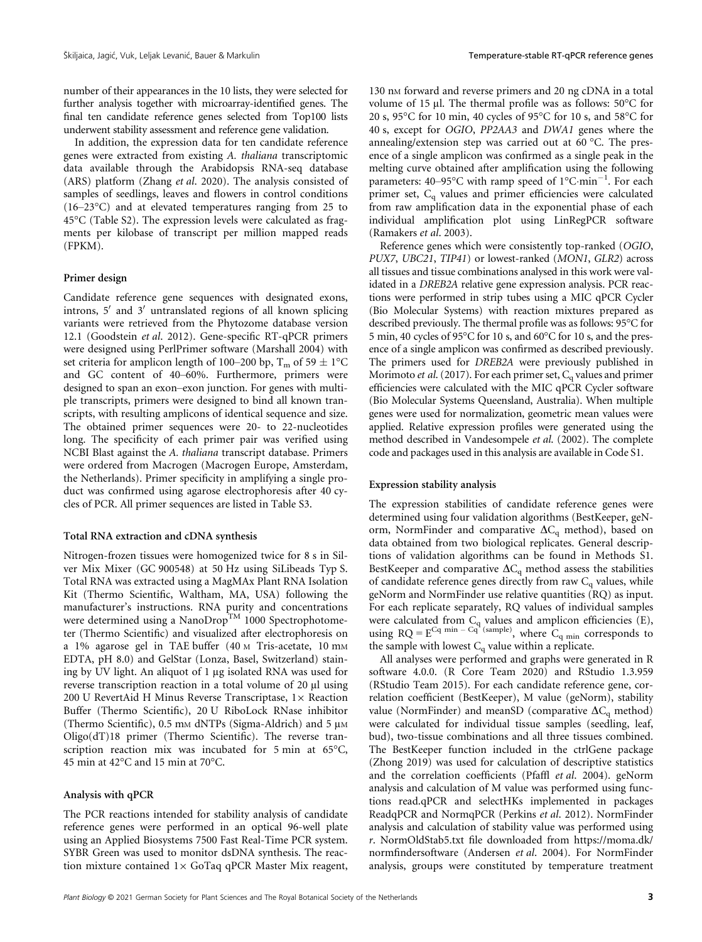number of their appearances in the 10 lists, they were selected for further analysis together with microarray-identified genes. The final ten candidate reference genes selected from Top100 lists underwent stability assessment and reference gene validation.

In addition, the expression data for ten candidate reference genes were extracted from existing A. thaliana transcriptomic data available through the Arabidopsis RNA-seq database (ARS) platform (Zhang et al. 2020). The analysis consisted of samples of seedlings, leaves and flowers in control conditions (16–23°C) and at elevated temperatures ranging from 25 to 45°C (Table S2). The expression levels were calculated as fragments per kilobase of transcript per million mapped reads (FPKM).

# Primer design

Candidate reference gene sequences with designated exons, introns,  $5'$  and  $3'$  untranslated regions of all known splicing variants were retrieved from the Phytozome database version 12.1 (Goodstein et al. 2012). Gene-specific RT-qPCR primers were designed using PerlPrimer software (Marshall 2004) with set criteria for amplicon length of 100–200 bp,  $T_m$  of 59  $\pm$  1°C and GC content of 40–60%. Furthermore, primers were designed to span an exon–exon junction. For genes with multiple transcripts, primers were designed to bind all known transcripts, with resulting amplicons of identical sequence and size. The obtained primer sequences were 20- to 22-nucleotides long. The specificity of each primer pair was verified using NCBI Blast against the A. thaliana transcript database. Primers were ordered from Macrogen (Macrogen Europe, Amsterdam, the Netherlands). Primer specificity in amplifying a single product was confirmed using agarose electrophoresis after 40 cycles of PCR. All primer sequences are listed in Table S3.

## Total RNA extraction and cDNA synthesis

Nitrogen-frozen tissues were homogenized twice for 8 s in Silver Mix Mixer (GC 900548) at 50 Hz using SiLibeads Typ S. Total RNA was extracted using a MagMAx Plant RNA Isolation Kit (Thermo Scientific, Waltham, MA, USA) following the manufacturer's instructions. RNA purity and concentrations were determined using a NanoDrop<sup>TM</sup> 1000 Spectrophotometer (Thermo Scientific) and visualized after electrophoresis on a 1% agarose gel in TAE buffer (40 M Tris-acetate, 10 mM EDTA, pH 8.0) and GelStar (Lonza, Basel, Switzerland) staining by UV light. An aliquot of 1 µg isolated RNA was used for reverse transcription reaction in a total volume of 20 µl using 200 U RevertAid H Minus Reverse Transcriptase,  $1 \times$  Reaction Buffer (Thermo Scientific), 20 U RiboLock RNase inhibitor (Thermo Scientific),  $0.5$  mm dNTPs (Sigma-Aldrich) and  $5 \mu$ M Oligo(dT)18 primer (Thermo Scientific). The reverse transcription reaction mix was incubated for 5 min at 65°C, 45 min at 42°C and 15 min at 70°C.

### Analysis with qPCR

The PCR reactions intended for stability analysis of candidate reference genes were performed in an optical 96-well plate using an Applied Biosystems 7500 Fast Real-Time PCR system. SYBR Green was used to monitor dsDNA synthesis. The reaction mixture contained  $1 \times$  GoTaq qPCR Master Mix reagent,

130 nM forward and reverse primers and 20 ng cDNA in a total volume of 15 µl. The thermal profile was as follows: 50°C for 20 s, 95°C for 10 min, 40 cycles of 95°C for 10 s, and 58°C for 40 s, except for OGIO, PP2AA3 and DWA1 genes where the annealing/extension step was carried out at 60 °C. The presence of a single amplicon was confirmed as a single peak in the melting curve obtained after amplification using the following parameters:  $40-95^{\circ}$ C with ramp speed of  $1^{\circ}$ C·min<sup>-1</sup>. For each primer set, C<sub>q</sub> values and primer efficiencies were calculated from raw amplification data in the exponential phase of each individual amplification plot using LinRegPCR software (Ramakers et al. 2003).

Reference genes which were consistently top-ranked (OGIO, PUX7, UBC21, TIP41) or lowest-ranked (MON1, GLR2) across all tissues and tissue combinations analysed in this work were validated in a DREB2A relative gene expression analysis. PCR reactions were performed in strip tubes using a MIC qPCR Cycler (Bio Molecular Systems) with reaction mixtures prepared as described previously. The thermal profile was as follows: 95°C for 5 min, 40 cycles of 95°C for 10 s, and 60°C for 10 s, and the presence of a single amplicon was confirmed as described previously. The primers used for DREB2A were previously published in Morimoto et al. (2017). For each primer set,  $C_q$  values and primer efficiencies were calculated with the MIC qPCR Cycler software (Bio Molecular Systems Queensland, Australia). When multiple genes were used for normalization, geometric mean values were applied. Relative expression profiles were generated using the method described in Vandesompele et al. (2002). The complete code and packages used in this analysis are available in Code S1.

#### Expression stability analysis

The expression stabilities of candidate reference genes were determined using four validation algorithms (BestKeeper, geNorm, NormFinder and comparative  $\Delta C_q$  method), based on data obtained from two biological replicates. General descriptions of validation algorithms can be found in Methods S1. BestKeeper and comparative  $\Delta C_q$  method assess the stabilities of candidate reference genes directly from raw  $C_q$  values, while geNorm and NormFinder use relative quantities (RQ) as input. For each replicate separately, RQ values of individual samples were calculated from  $C_q$  values and amplicon efficiencies (E), using  $RQ = E^{Cq \text{ min } - Cq^2 \text{(sample)}}$ , where  $C_{q \text{ min }}$  corresponds to the sample with lowest  $C_q$  value within a replicate.

All analyses were performed and graphs were generated in R software 4.0.0. (R Core Team 2020) and RStudio 1.3.959 (RStudio Team 2015). For each candidate reference gene, correlation coefficient (BestKeeper), M value (geNorm), stability value (NormFinder) and meanSD (comparative  $\Delta C_q$  method) were calculated for individual tissue samples (seedling, leaf, bud), two-tissue combinations and all three tissues combined. The BestKeeper function included in the ctrlGene package (Zhong 2019) was used for calculation of descriptive statistics and the correlation coefficients (Pfaffl et al. 2004). geNorm analysis and calculation of M value was performed using functions read.qPCR and selectHKs implemented in packages ReadqPCR and NormqPCR (Perkins et al. 2012). NormFinder analysis and calculation of stability value was performed using r. NormOldStab5.txt file downloaded from https://moma.dk/ normfindersoftware (Andersen et al. 2004). For NormFinder analysis, groups were constituted by temperature treatment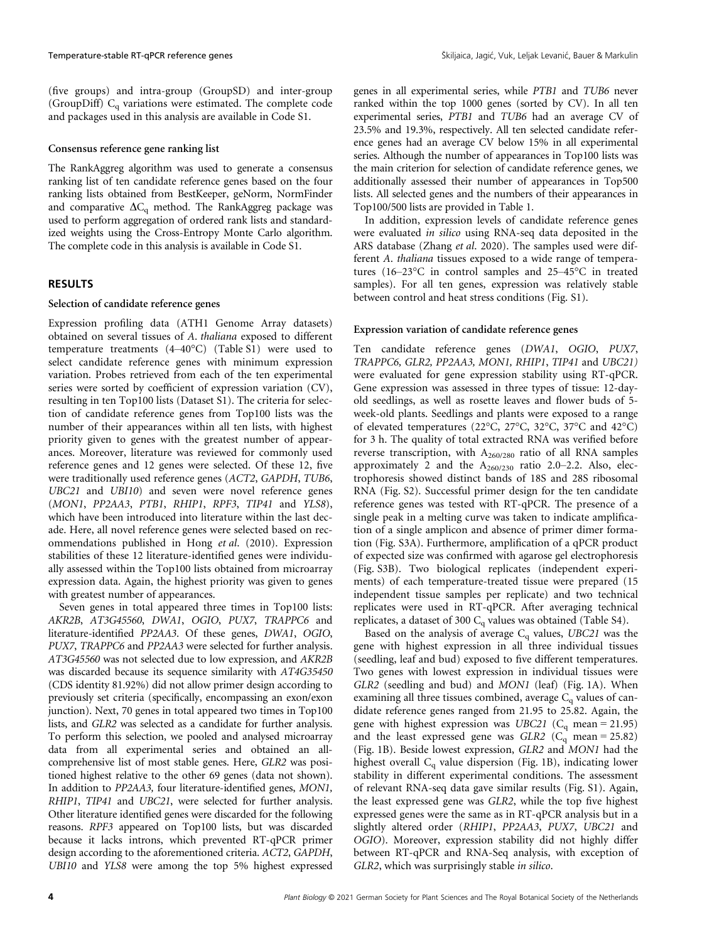(five groups) and intra-group (GroupSD) and inter-group (GroupDiff) Cq variations were estimated. The complete code and packages used in this analysis are available in Code S1.

# Consensus reference gene ranking list

The RankAggreg algorithm was used to generate a consensus ranking list of ten candidate reference genes based on the four ranking lists obtained from BestKeeper, geNorm, NormFinder and comparative  $\Delta C_q$  method. The RankAggreg package was used to perform aggregation of ordered rank lists and standardized weights using the Cross-Entropy Monte Carlo algorithm. The complete code in this analysis is available in Code S1.

# RESULTS

# Selection of candidate reference genes

Expression profiling data (ATH1 Genome Array datasets) obtained on several tissues of A. thaliana exposed to different temperature treatments (4–40°C) (Table S1) were used to select candidate reference genes with minimum expression variation. Probes retrieved from each of the ten experimental series were sorted by coefficient of expression variation (CV), resulting in ten Top100 lists (Dataset S1). The criteria for selection of candidate reference genes from Top100 lists was the number of their appearances within all ten lists, with highest priority given to genes with the greatest number of appearances. Moreover, literature was reviewed for commonly used reference genes and 12 genes were selected. Of these 12, five were traditionally used reference genes (ACT2, GAPDH, TUB6, UBC21 and UBI10) and seven were novel reference genes (MON1, PP2AA3, PTB1, RHIP1, RPF3, TIP41 and YLS8), which have been introduced into literature within the last decade. Here, all novel reference genes were selected based on recommendations published in Hong et al. (2010). Expression stabilities of these 12 literature-identified genes were individually assessed within the Top100 lists obtained from microarray expression data. Again, the highest priority was given to genes with greatest number of appearances.

Seven genes in total appeared three times in Top100 lists: AKR2B, AT3G45560, DWA1, OGIO, PUX7, TRAPPC6 and literature-identified PP2AA3. Of these genes, DWA1, OGIO, PUX7, TRAPPC6 and PP2AA3 were selected for further analysis. AT3G45560 was not selected due to low expression, and AKR2B was discarded because its sequence similarity with AT4G35450 (CDS identity 81.92%) did not allow primer design according to previously set criteria (specifically, encompassing an exon/exon junction). Next, 70 genes in total appeared two times in Top100 lists, and GLR2 was selected as a candidate for further analysis. To perform this selection, we pooled and analysed microarray data from all experimental series and obtained an allcomprehensive list of most stable genes. Here, GLR2 was positioned highest relative to the other 69 genes (data not shown). In addition to PP2AA3, four literature-identified genes, MON1, RHIP1, TIP41 and UBC21, were selected for further analysis. Other literature identified genes were discarded for the following reasons. RPF3 appeared on Top100 lists, but was discarded because it lacks introns, which prevented RT-qPCR primer design according to the aforementioned criteria. ACT2, GAPDH, UBI10 and YLS8 were among the top 5% highest expressed

genes in all experimental series, while PTB1 and TUB6 never ranked within the top 1000 genes (sorted by CV). In all ten experimental series, PTB1 and TUB6 had an average CV of 23.5% and 19.3%, respectively. All ten selected candidate reference genes had an average CV below 15% in all experimental series. Although the number of appearances in Top100 lists was the main criterion for selection of candidate reference genes, we additionally assessed their number of appearances in Top500 lists. All selected genes and the numbers of their appearances in Top100/500 lists are provided in Table 1.

In addition, expression levels of candidate reference genes were evaluated in silico using RNA-seq data deposited in the ARS database (Zhang et al. 2020). The samples used were different A. thaliana tissues exposed to a wide range of temperatures (16–23°C in control samples and 25–45°C in treated samples). For all ten genes, expression was relatively stable between control and heat stress conditions (Fig. S1).

## Expression variation of candidate reference genes

Ten candidate reference genes (DWA1, OGIO, PUX7, TRAPPC6, GLR2, PP2AA3, MON1, RHIP1, TIP41 and UBC21) were evaluated for gene expression stability using RT-qPCR. Gene expression was assessed in three types of tissue: 12-dayold seedlings, as well as rosette leaves and flower buds of 5 week-old plants. Seedlings and plants were exposed to a range of elevated temperatures (22°C, 27°C, 32°C, 37°C and 42°C) for 3 h. The quality of total extracted RNA was verified before reverse transcription, with A260/280 ratio of all RNA samples approximately 2 and the  $A_{260/230}$  ratio 2.0–2.2. Also, electrophoresis showed distinct bands of 18S and 28S ribosomal RNA (Fig. S2). Successful primer design for the ten candidate reference genes was tested with RT-qPCR. The presence of a single peak in a melting curve was taken to indicate amplification of a single amplicon and absence of primer dimer formation (Fig. S3A). Furthermore, amplification of a qPCR product of expected size was confirmed with agarose gel electrophoresis (Fig. S3B). Two biological replicates (independent experiments) of each temperature-treated tissue were prepared (15 independent tissue samples per replicate) and two technical replicates were used in RT-qPCR. After averaging technical replicates, a dataset of 300  $C_q$  values was obtained (Table S4).

Based on the analysis of average  $C_q$  values, UBC21 was the gene with highest expression in all three individual tissues (seedling, leaf and bud) exposed to five different temperatures. Two genes with lowest expression in individual tissues were GLR2 (seedling and bud) and MON1 (leaf) (Fig. 1A). When examining all three tissues combined, average  $C_q$  values of candidate reference genes ranged from 21.95 to 25.82. Again, the gene with highest expression was UBC21 ( $C_q$  mean = 21.95) and the least expressed gene was  $GLR2$  (C<sub>q</sub> mean = 25.82) (Fig. 1B). Beside lowest expression, GLR2 and MON1 had the highest overall  $C_q$  value dispersion (Fig. 1B), indicating lower stability in different experimental conditions. The assessment of relevant RNA-seq data gave similar results (Fig. S1). Again, the least expressed gene was GLR2, while the top five highest expressed genes were the same as in RT-qPCR analysis but in a slightly altered order (RHIP1, PP2AA3, PUX7, UBC21 and OGIO). Moreover, expression stability did not highly differ between RT-qPCR and RNA-Seq analysis, with exception of GLR2, which was surprisingly stable in silico.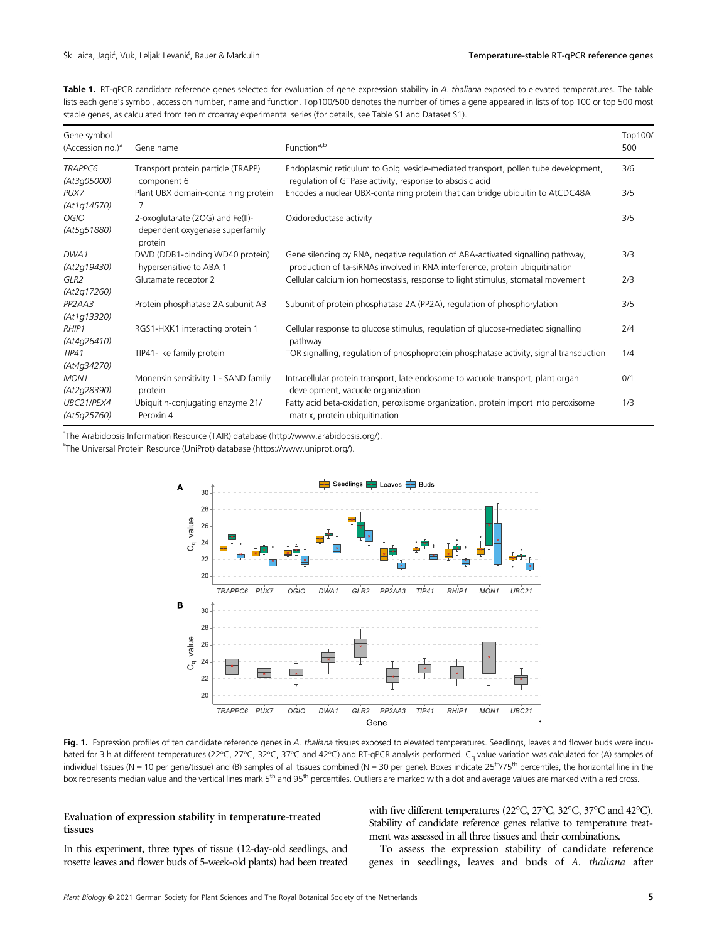Table 1. RT-qPCR candidate reference genes selected for evaluation of gene expression stability in A. thaliana exposed to elevated temperatures. The table lists each gene's symbol, accession number, name and function. Top100/500 denotes the number of times a gene appeared in lists of top 100 or top 500 most stable genes, as calculated from ten microarray experimental series (for details, see Table S1 and Dataset S1).

| Gene symbol<br>(Accession no.) $^a$             | Gene name                                                                      | Function <sup>a,b</sup>                                                                                                                                         |     |  |  |  |
|-------------------------------------------------|--------------------------------------------------------------------------------|-----------------------------------------------------------------------------------------------------------------------------------------------------------------|-----|--|--|--|
| <b>TRAPPC6</b><br>(At3q05000)                   | Transport protein particle (TRAPP)<br>component 6                              | Endoplasmic reticulum to Golgi vesicle-mediated transport, pollen tube development,<br>regulation of GTPase activity, response to abscisic acid                 |     |  |  |  |
| PUX7<br>(At1g14570)                             | Plant UBX domain-containing protein                                            | Encodes a nuclear UBX-containing protein that can bridge ubiquitin to AtCDC48A                                                                                  | 3/5 |  |  |  |
| <b>OGIO</b><br>(At5g51880)                      | 2-oxoglutarate (2OG) and Fe(II)-<br>dependent oxygenase superfamily<br>protein | Oxidoreductase activity                                                                                                                                         | 3/5 |  |  |  |
| DWA1<br>(At2g19430)                             | DWD (DDB1-binding WD40 protein)<br>hypersensitive to ABA 1                     | Gene silencing by RNA, negative regulation of ABA-activated signalling pathway,<br>production of ta-siRNAs involved in RNA interference, protein ubiquitination | 3/3 |  |  |  |
| GLR <sub>2</sub><br>(At2g17260)                 | Glutamate receptor 2                                                           | Cellular calcium ion homeostasis, response to light stimulus, stomatal movement                                                                                 | 2/3 |  |  |  |
| PP <sub>2</sub> A <sub>A</sub> 3<br>(At1g13320) | Protein phosphatase 2A subunit A3                                              | Subunit of protein phosphatase 2A (PP2A), regulation of phosphorylation                                                                                         | 3/5 |  |  |  |
| RHIP1<br>(At4g26410)                            | RGS1-HXK1 interacting protein 1                                                | Cellular response to glucose stimulus, regulation of glucose-mediated signalling<br>pathway                                                                     | 2/4 |  |  |  |
| TIP41<br>(At4g34270)                            | TIP41-like family protein                                                      | TOR signalling, regulation of phosphoprotein phosphatase activity, signal transduction                                                                          | 1/4 |  |  |  |
| MON <sub>1</sub><br>(At2g28390)                 | Monensin sensitivity 1 - SAND family<br>protein                                | Intracellular protein transport, late endosome to vacuole transport, plant organ<br>development, vacuole organization                                           | 0/1 |  |  |  |
| UBC21/PEX4<br>(At5q25760)                       | Ubiquitin-conjugating enzyme 21/<br>Peroxin 4                                  | Fatty acid beta-oxidation, peroxisome organization, protein import into peroxisome<br>matrix, protein ubiquitination                                            | 1/3 |  |  |  |

a The Arabidopsis Information Resource (TAIR) database (http://www.arabidopsis.org/).

b The Universal Protein Resource (UniProt) database (https://www.uniprot.org/).



Fig. 1. Expression profiles of ten candidate reference genes in A. thaliana tissues exposed to elevated temperatures. Seedlings, leaves and flower buds were incubated for 3 h at different temperatures (22°C, 27°C, 32°C, 37°C and 42°C) and RT-qPCR analysis performed. C<sub>q</sub> value variation was calculated for (A) samples of individual tissues (N = 10 per gene/tissue) and (B) samples of all tissues combined (N = 30 per gene). Boxes indicate  $25<sup>th</sup>/75<sup>th</sup>$  percentiles, the horizontal line in the box represents median value and the vertical lines mark 5<sup>th</sup> and 95<sup>th</sup> percentiles. Outliers are marked with a dot and average values are marked with a red cross.

# Evaluation of expression stability in temperature-treated tissues

with five different temperatures (22°C, 27°C, 32°C, 37°C and 42°C). Stability of candidate reference genes relative to temperature treatment was assessed in all three tissues and their combinations.

In this experiment, three types of tissue (12-day-old seedlings, and rosette leaves and flower buds of 5-week-old plants) had been treated

To assess the expression stability of candidate reference genes in seedlings, leaves and buds of A. thaliana after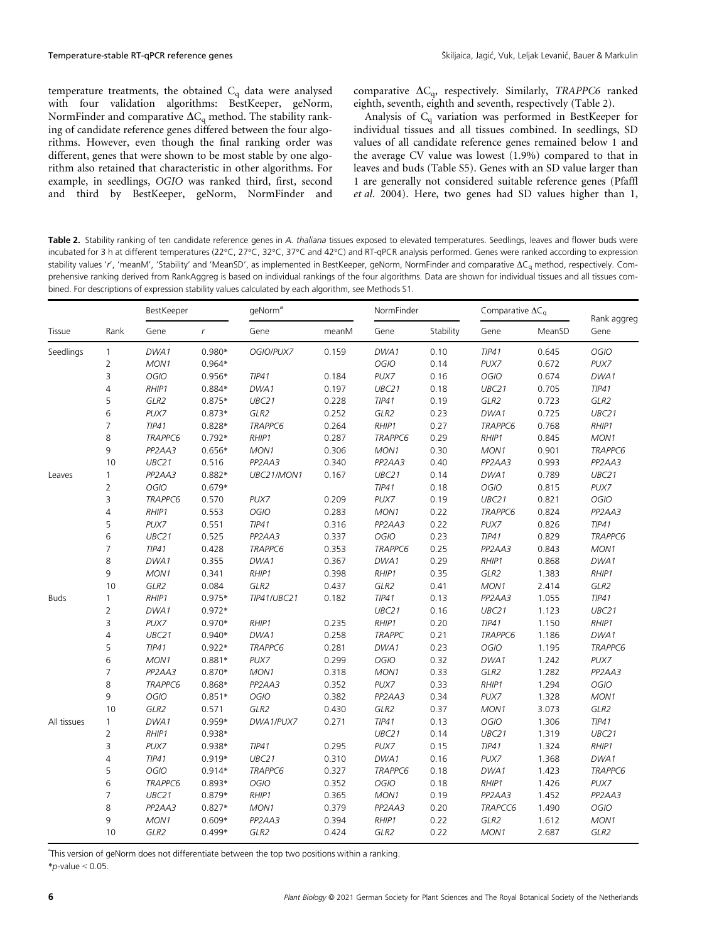temperature treatments, the obtained  $C_q$  data were analysed with four validation algorithms: BestKeeper, geNorm, NormFinder and comparative  $\Delta C_q$  method. The stability ranking of candidate reference genes differed between the four algorithms. However, even though the final ranking order was different, genes that were shown to be most stable by one algorithm also retained that characteristic in other algorithms. For example, in seedlings, OGIO was ranked third, first, second and third by BestKeeper, geNorm, NormFinder and comparative  $\Delta C_{q}$ , respectively. Similarly, TRAPPC6 ranked eighth, seventh, eighth and seventh, respectively (Table 2).

Analysis of  $C_q$  variation was performed in BestKeeper for individual tissues and all tissues combined. In seedlings, SD values of all candidate reference genes remained below 1 and the average CV value was lowest (1.9%) compared to that in leaves and buds (Table S5). Genes with an SD value larger than 1 are generally not considered suitable reference genes (Pfaffl et al. 2004). Here, two genes had SD values higher than 1,

Table 2. Stability ranking of ten candidate reference genes in A. thaliana tissues exposed to elevated temperatures. Seedlings, leaves and flower buds were incubated for 3 h at different temperatures (22°C, 27°C, 32°C, 37°C and 42°C) and RT-qPCR analysis performed. Genes were ranked according to expression stability values 'r', 'meanM', 'Stability' and 'MeanSD', as implemented in BestKeeper, geNorm, NormFinder and comparative  $\Delta C_q$  method, respectively. Comprehensive ranking derived from RankAggreg is based on individual rankings of the four algorithms. Data are shown for individual tissues and all tissues combined. For descriptions of expression stability values calculated by each algorithm, see Methods S1.

| Tissue      | Rank           | BestKeeper                       |              | qeNorm <sup>a</sup>              |       |                     | NormFinder |                                  | Comparative $\Delta C_q$ |                                  |
|-------------|----------------|----------------------------------|--------------|----------------------------------|-------|---------------------|------------|----------------------------------|--------------------------|----------------------------------|
|             |                | Gene                             | $\mathsf{r}$ | Gene                             | meanM | Gene                | Stability  | Gene                             | MeanSD                   | Rank aggreg<br>Gene              |
| Seedlings   | $\mathbf{1}$   | DWA1                             | $0.980*$     | OGIO/PUX7                        | 0.159 | DWA1                | 0.10       | TIP41                            | 0.645                    | <b>OGIO</b>                      |
|             | $\overline{2}$ | MON1                             | $0.964*$     |                                  |       | OGIO                | 0.14       | PUX7                             | 0.672                    | PUX7                             |
|             | 3              | <b>OGIO</b>                      | $0.956*$     | TIP41                            | 0.184 | PUX7                | 0.16       | <b>OGIO</b>                      | 0.674                    | DWA1                             |
|             | $\overline{4}$ | RHIP1                            | $0.884*$     | DWA1                             | 0.197 | UBC21               | 0.18       | UBC21                            | 0.705                    | TIP41                            |
|             | 5              | GLR2                             | $0.875*$     | UBC21                            | 0.228 | TIP41               | 0.19       | GLR2                             | 0.723                    | GLR2                             |
|             | 6              | PUX7                             | $0.873*$     | GLR2                             | 0.252 | GLR2                | 0.23       | DWA1                             | 0.725                    | UBC21                            |
|             | $\overline{7}$ | TIP41                            | $0.828*$     | TRAPPC6                          | 0.264 | RHIP1               | 0.27       | TRAPPC6                          | 0.768                    | $R$ HIP1                         |
|             | 8              | TRAPPC6                          | $0.792*$     | RHIP1                            | 0.287 | TRAPPC6             | 0.29       | RHIP1                            | 0.845                    | MON1                             |
|             | 9              | PP <sub>2</sub> A <sub>4</sub> 3 | $0.656*$     | MON1                             | 0.306 | MON1                | 0.30       | MON1                             | 0.901                    | <b>TRAPPC6</b>                   |
|             | 10             | UBC21                            | 0.516        | PP <sub>2</sub> AA3              | 0.340 | PP <sub>2</sub> AA3 | 0.40       | PP <sub>2</sub> AA3              | 0.993                    | PP <sub>2</sub> AA3              |
| Leaves      | $\mathbf{1}$   | PP <sub>2</sub> A <sub>A</sub> 3 | $0.882*$     | UBC21/MON1                       | 0.167 | UBC21               | 0.14       | DWA1                             | 0.789                    | UBC21                            |
|             | $\mathbf 2$    | OGIO                             | $0.679*$     |                                  |       | TIP41               | 0.18       | OGIO                             | 0.815                    | PUX7                             |
|             | 3              | TRAPPC6                          | 0.570        | PUX7                             | 0.209 | PUX7                | 0.19       | UBC21                            | 0.821                    | OGIO                             |
|             | $\overline{4}$ | RHIP1                            | 0.553        | OGIO                             | 0.283 | MON1                | 0.22       | <b>TRAPPC6</b>                   | 0.824                    | PP <sub>2</sub> AA3              |
|             | 5              | PUX7                             | 0.551        | TIP41                            | 0.316 | PP <sub>2</sub> AA3 | 0.22       | PUX7                             | 0.826                    | TIP41                            |
|             | $\sqrt{6}$     | UBC21                            | 0.525        | PP <sub>2</sub> AA3              | 0.337 | OGIO                | 0.23       | TIP41                            | 0.829                    | <b>TRAPPC6</b>                   |
|             | $\overline{7}$ | TIP41                            | 0.428        | TRAPPC6                          | 0.353 | TRAPPC6             | 0.25       | PP <sub>2</sub> AA3              | 0.843                    | MON1                             |
|             | 8              | DWA1                             | 0.355        | DWA1                             | 0.367 | DWA1                | 0.29       | RHIP1                            | 0.868                    | DWA1                             |
|             | 9              | MON1                             | 0.341        | RHIP1                            | 0.398 | RHIP1               | 0.35       | GLR2                             | 1.383                    | RHIP1                            |
|             | 10             | GLR2                             | 0.084        | GLR2                             | 0.437 | GLR2                | 0.41       | MON1                             | 2.414                    | GLR2                             |
| <b>Buds</b> | $\mathbf{1}$   | RHIP1                            | $0.975*$     | TIP41/UBC21                      | 0.182 | TIP41               | 0.13       | PP <sub>2</sub> A <sub>A</sub> 3 | 1.055                    | TIP41                            |
|             | $\mathbf 2$    | DWA1                             | $0.972*$     |                                  |       | UBC21               | 0.16       | UBC21                            | 1.123                    | UBC21                            |
|             | 3              | PUX7                             | $0.970*$     | RHIP1                            | 0.235 | RHIP1               | 0.20       | TIP41                            | 1.150                    | RHIP1                            |
|             | $\overline{4}$ | UBC21                            | $0.940*$     | DWA1                             | 0.258 | <b>TRAPPC</b>       | 0.21       | TRAPPC6                          | 1.186                    | DWA1                             |
|             | 5              | TIP41                            | $0.922*$     | <b>TRAPPC6</b>                   | 0.281 | DWA1                | 0.23       | OGIO                             | 1.195                    | <b>TRAPPC6</b>                   |
|             | $\sqrt{6}$     | MON1                             | $0.881*$     | PUX7                             | 0.299 | OGIO                | 0.32       | DWA1                             | 1.242                    | PUX7                             |
|             | $\overline{7}$ | PP <sub>2</sub> A <sub>4</sub> 3 | $0.870*$     | MON1                             | 0.318 | MON1                | 0.33       | GLR2                             | 1.282                    | PP <sub>2</sub> AA3              |
|             | $\,8\,$        | TRAPPC6                          | 0.868*       | PP <sub>2</sub> A <sub>A</sub> 3 | 0.352 | PUX7                | 0.33       | RHIP1                            | 1.294                    | OGIO                             |
|             | $\mathsf 9$    | OGIO                             | $0.851*$     | OGIO                             | 0.382 | PP <sub>2</sub> AA3 | 0.34       | PUX7                             | 1.328                    | MON1                             |
|             | 10             | GLR2                             | 0.571        | GLR2                             | 0.430 | GLR2                | 0.37       | MON1                             | 3.073                    | GLR2                             |
| All tissues | $\mathbf{1}$   | DWA1                             | $0.959*$     | DWA1/PUX7                        | 0.271 | TIP41               | 0.13       | OGIO                             | 1.306                    | TIP41                            |
|             | $\mathbf 2$    | RHIP1                            | 0.938*       |                                  |       | UBC21               | 0.14       | UBC21                            | 1.319                    | UBC21                            |
|             | 3              | PUX7                             | 0.938*       | TIP41                            | 0.295 | PUX7                | 0.15       | TIP41                            | 1.324                    | RHIP1                            |
|             | $\overline{4}$ | TIP41                            | $0.919*$     | UBC21                            | 0.310 | DWA1                | 0.16       | PUX7                             | 1.368                    | DWA1                             |
|             | 5              | OGIO                             | $0.914*$     | TRAPPC6                          | 0.327 | TRAPPC6             | 0.18       | DWA1                             | 1.423                    | TRAPPC6                          |
|             | 6              | <b>TRAPPC6</b>                   | $0.893*$     | OGIO                             | 0.352 | <b>OGIO</b>         | 0.18       | RHIP1                            | 1.426                    | PUX7                             |
|             | $\overline{7}$ | UBC21                            | $0.879*$     | RHIP1                            | 0.365 | MON1                | 0.19       | PP <sub>2</sub> A <sub>A</sub> 3 | 1.452                    | PP <sub>2</sub> A <sub>A</sub> 3 |
|             | 8              | PP <sub>2</sub> AA3              | $0.827*$     | MON1                             | 0.379 | PP <sub>2</sub> AA3 | 0.20       | TRAPCC6                          | 1.490                    | OGIO                             |
|             | 9              | MON1                             | $0.609*$     | PP <sub>2</sub> AA3              | 0.394 | RHIP1               | 0.22       | GLR2                             | 1.612                    | MON1                             |
|             | 10             | GLR2                             | $0.499*$     | GLR2                             | 0.424 | GLR2                | 0.22       | MON1                             | 2.687                    | GLR2                             |
|             |                |                                  |              |                                  |       |                     |            |                                  |                          |                                  |

a This version of geNorm does not differentiate between the top two positions within a ranking.  $*p$ -value < 0.05.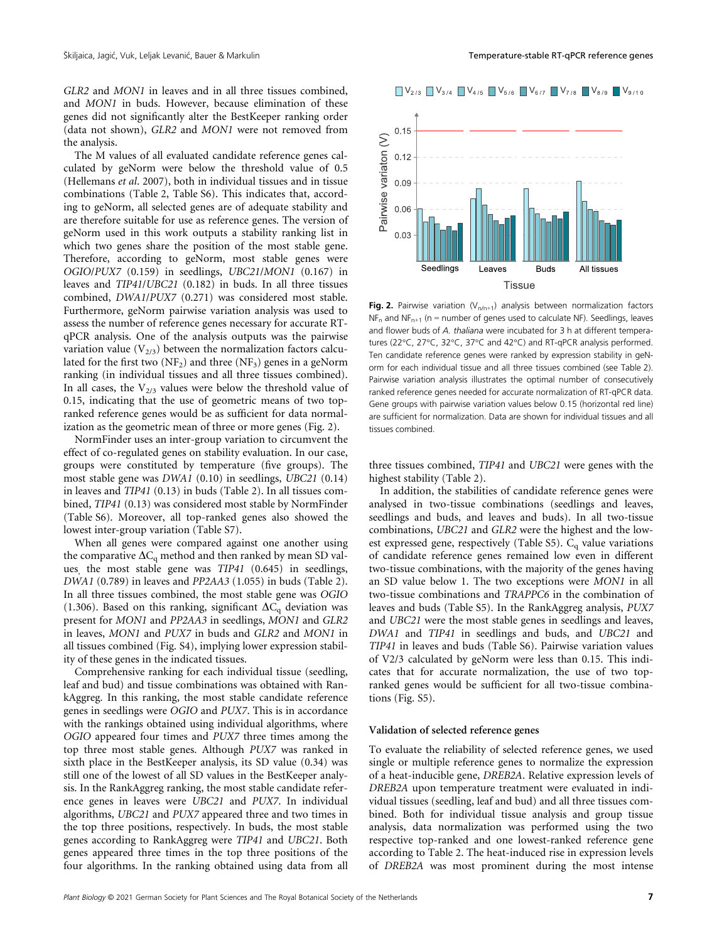GLR2 and MON1 in leaves and in all three tissues combined, and MON1 in buds. However, because elimination of these genes did not significantly alter the BestKeeper ranking order (data not shown), GLR2 and MON1 were not removed from the analysis.

The M values of all evaluated candidate reference genes calculated by geNorm were below the threshold value of 0.5 (Hellemans et al. 2007), both in individual tissues and in tissue combinations (Table 2, Table S6). This indicates that, according to geNorm, all selected genes are of adequate stability and are therefore suitable for use as reference genes. The version of geNorm used in this work outputs a stability ranking list in which two genes share the position of the most stable gene. Therefore, according to geNorm, most stable genes were OGIO/PUX7 (0.159) in seedlings, UBC21/MON1 (0.167) in leaves and TIP41/UBC21 (0.182) in buds. In all three tissues combined, DWA1/PUX7 (0.271) was considered most stable. Furthermore, geNorm pairwise variation analysis was used to assess the number of reference genes necessary for accurate RTqPCR analysis. One of the analysis outputs was the pairwise variation value  $(V_{2/3})$  between the normalization factors calculated for the first two  $(NF_2)$  and three  $(NF_3)$  genes in a geNorm ranking (in individual tissues and all three tissues combined). In all cases, the  $V_{2/3}$  values were below the threshold value of 0.15, indicating that the use of geometric means of two topranked reference genes would be as sufficient for data normalization as the geometric mean of three or more genes (Fig. 2).

NormFinder uses an inter-group variation to circumvent the effect of co-regulated genes on stability evaluation. In our case, groups were constituted by temperature (five groups). The most stable gene was DWA1 (0.10) in seedlings, UBC21 (0.14) in leaves and TIP41 (0.13) in buds (Table 2). In all tissues combined, TIP41 (0.13) was considered most stable by NormFinder (Table S6). Moreover, all top-ranked genes also showed the lowest inter-group variation (Table S7).

When all genes were compared against one another using the comparative  $\Delta C_q$  method and then ranked by mean SD values, the most stable gene was TIP41 (0.645) in seedlings, DWA1 (0.789) in leaves and PP2AA3 (1.055) in buds (Table 2). In all three tissues combined, the most stable gene was OGIO (1.306). Based on this ranking, significant  $\Delta C_q$  deviation was present for MON1 and PP2AA3 in seedlings, MON1 and GLR2 in leaves, MON1 and PUX7 in buds and GLR2 and MON1 in all tissues combined (Fig. S4), implying lower expression stability of these genes in the indicated tissues.

Comprehensive ranking for each individual tissue (seedling, leaf and bud) and tissue combinations was obtained with RankAggreg. In this ranking, the most stable candidate reference genes in seedlings were OGIO and PUX7. This is in accordance with the rankings obtained using individual algorithms, where OGIO appeared four times and PUX7 three times among the top three most stable genes. Although PUX7 was ranked in sixth place in the BestKeeper analysis, its SD value (0.34) was still one of the lowest of all SD values in the BestKeeper analysis. In the RankAggreg ranking, the most stable candidate reference genes in leaves were UBC21 and PUX7. In individual algorithms, UBC21 and PUX7 appeared three and two times in the top three positions, respectively. In buds, the most stable genes according to RankAggreg were TIP41 and UBC21. Both genes appeared three times in the top three positions of the four algorithms. In the ranking obtained using data from all



Fig. 2. Pairwise variation  $(V_{n/n+1})$  analysis between normalization factors  $NF_n$  and  $NF_{n+1}$  (n = number of genes used to calculate NF). Seedlings, leaves and flower buds of A. thaliana were incubated for 3 h at different temperatures (22°C, 27°C, 32°C, 37°C and 42°C) and RT-qPCR analysis performed. Ten candidate reference genes were ranked by expression stability in geNorm for each individual tissue and all three tissues combined (see Table 2). Pairwise variation analysis illustrates the optimal number of consecutively ranked reference genes needed for accurate normalization of RT-qPCR data. Gene groups with pairwise variation values below 0.15 (horizontal red line) are sufficient for normalization. Data are shown for individual tissues and all tissues combined.

three tissues combined, TIP41 and UBC21 were genes with the highest stability (Table 2).

In addition, the stabilities of candidate reference genes were analysed in two-tissue combinations (seedlings and leaves, seedlings and buds, and leaves and buds). In all two-tissue combinations, UBC21 and GLR2 were the highest and the lowest expressed gene, respectively (Table S5).  $C_q$  value variations of candidate reference genes remained low even in different two-tissue combinations, with the majority of the genes having an SD value below 1. The two exceptions were MON1 in all two-tissue combinations and TRAPPC6 in the combination of leaves and buds (Table S5). In the RankAggreg analysis, PUX7 and UBC21 were the most stable genes in seedlings and leaves, DWA1 and TIP41 in seedlings and buds, and UBC21 and TIP41 in leaves and buds (Table S6). Pairwise variation values of V2/3 calculated by geNorm were less than 0.15. This indicates that for accurate normalization, the use of two topranked genes would be sufficient for all two-tissue combinations (Fig. S5).

#### Validation of selected reference genes

To evaluate the reliability of selected reference genes, we used single or multiple reference genes to normalize the expression of a heat-inducible gene, DREB2A. Relative expression levels of DREB2A upon temperature treatment were evaluated in individual tissues (seedling, leaf and bud) and all three tissues combined. Both for individual tissue analysis and group tissue analysis, data normalization was performed using the two respective top-ranked and one lowest-ranked reference gene according to Table 2. The heat-induced rise in expression levels of DREB2A was most prominent during the most intense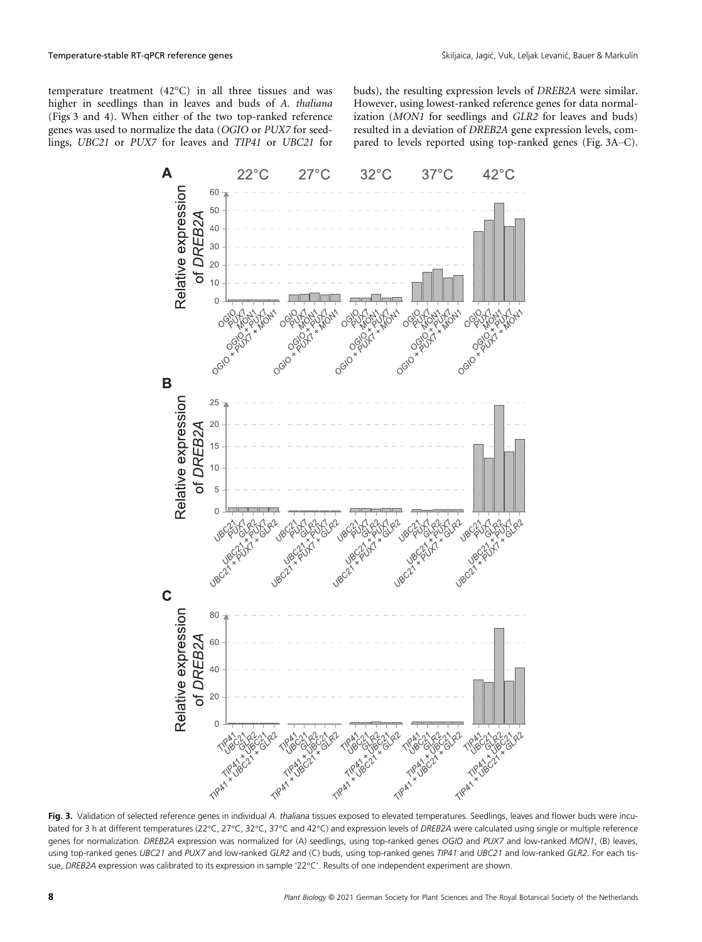temperature treatment (42°C) in all three tissues and was higher in seedlings than in leaves and buds of A. thaliana (Figs 3 and 4). When either of the two top-ranked reference genes was used to normalize the data (OGIO or PUX7 for seedlings, UBC21 or PUX7 for leaves and TIP41 or UBC21 for buds), the resulting expression levels of DREB2A were similar. However, using lowest-ranked reference genes for data normalization (MON1 for seedlings and GLR2 for leaves and buds) resulted in a deviation of DREB2A gene expression levels, compared to levels reported using top-ranked genes (Fig. 3A–C).



Fig. 3. Validation of selected reference genes in individual A. thaliana tissues exposed to elevated temperatures. Seedlings, leaves and flower buds were incubated for 3 h at different temperatures (22°C, 27°C, 32°C, 37°C and 42°C) and expression levels of DREB2A were calculated using single or multiple reference genes for normalization. DREB2A expression was normalized for (A) seedlings, using top-ranked genes OGIO and PUX7 and low-ranked MON1, (B) leaves, using top-ranked genes UBC21 and PUX7 and low-ranked GLR2 and (C) buds, using top-ranked genes TIP41 and UBC21 and low-ranked GLR2. For each tissue, DREB2A expression was calibrated to its expression in sample '22°C'. Results of one independent experiment are shown.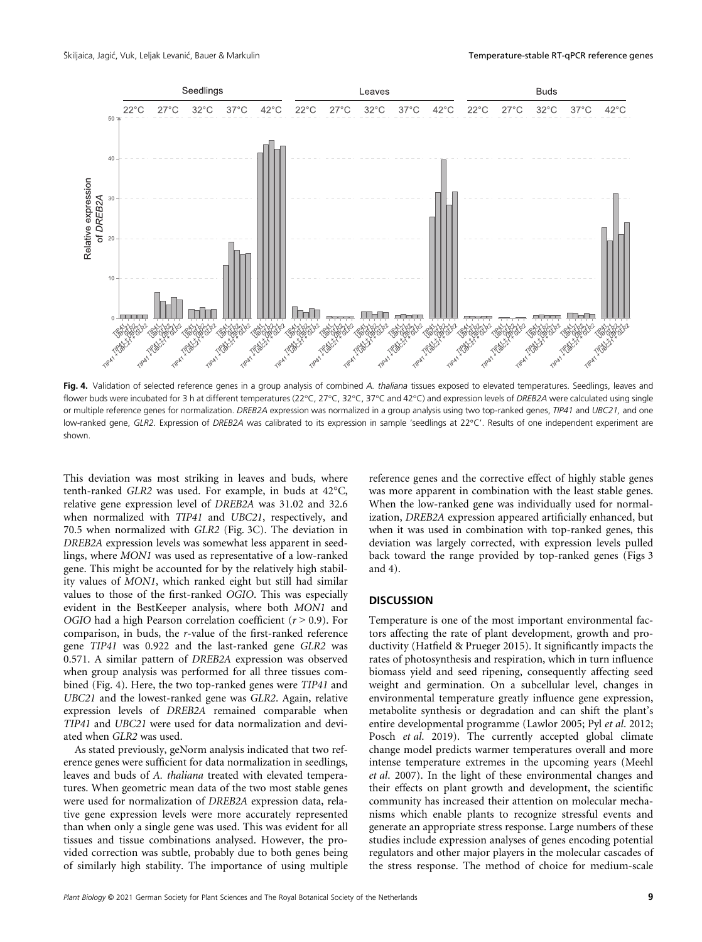

Fig. 4. Validation of selected reference genes in a group analysis of combined A. thaliana tissues exposed to elevated temperatures. Seedlings, leaves and flower buds were incubated for 3 h at different temperatures (22°C, 27°C, 32°C, 37°C and 42°C) and expression levels of DREB2A were calculated using single or multiple reference genes for normalization. DREB2A expression was normalized in a group analysis using two top-ranked genes, TIP41 and UBC21, and one low-ranked gene, GLR2. Expression of DREB2A was calibrated to its expression in sample 'seedlings at 22°C'. Results of one independent experiment are shown.

This deviation was most striking in leaves and buds, where tenth-ranked GLR2 was used. For example, in buds at 42°C, relative gene expression level of DREB2A was 31.02 and 32.6 when normalized with TIP41 and UBC21, respectively, and 70.5 when normalized with GLR2 (Fig. 3C). The deviation in DREB2A expression levels was somewhat less apparent in seedlings, where MON1 was used as representative of a low-ranked gene. This might be accounted for by the relatively high stability values of MON1, which ranked eight but still had similar values to those of the first-ranked OGIO. This was especially evident in the BestKeeper analysis, where both MON1 and OGIO had a high Pearson correlation coefficient  $(r > 0.9)$ . For comparison, in buds, the r-value of the first-ranked reference gene TIP41 was 0.922 and the last-ranked gene GLR2 was 0.571. A similar pattern of DREB2A expression was observed when group analysis was performed for all three tissues combined (Fig. 4). Here, the two top-ranked genes were TIP41 and UBC21 and the lowest-ranked gene was GLR2. Again, relative expression levels of DREB2A remained comparable when TIP41 and UBC21 were used for data normalization and deviated when GLR2 was used.

As stated previously, geNorm analysis indicated that two reference genes were sufficient for data normalization in seedlings, leaves and buds of A. thaliana treated with elevated temperatures. When geometric mean data of the two most stable genes were used for normalization of DREB2A expression data, relative gene expression levels were more accurately represented than when only a single gene was used. This was evident for all tissues and tissue combinations analysed. However, the provided correction was subtle, probably due to both genes being of similarly high stability. The importance of using multiple reference genes and the corrective effect of highly stable genes was more apparent in combination with the least stable genes. When the low-ranked gene was individually used for normalization, DREB2A expression appeared artificially enhanced, but when it was used in combination with top-ranked genes, this deviation was largely corrected, with expression levels pulled back toward the range provided by top-ranked genes (Figs 3 and 4).

## **DISCUSSION**

Temperature is one of the most important environmental factors affecting the rate of plant development, growth and productivity (Hatfield & Prueger 2015). It significantly impacts the rates of photosynthesis and respiration, which in turn influence biomass yield and seed ripening, consequently affecting seed weight and germination. On a subcellular level, changes in environmental temperature greatly influence gene expression, metabolite synthesis or degradation and can shift the plant's entire developmental programme (Lawlor 2005; Pyl et al. 2012; Posch et al. 2019). The currently accepted global climate change model predicts warmer temperatures overall and more intense temperature extremes in the upcoming years (Meehl et al. 2007). In the light of these environmental changes and their effects on plant growth and development, the scientific community has increased their attention on molecular mechanisms which enable plants to recognize stressful events and generate an appropriate stress response. Large numbers of these studies include expression analyses of genes encoding potential regulators and other major players in the molecular cascades of the stress response. The method of choice for medium-scale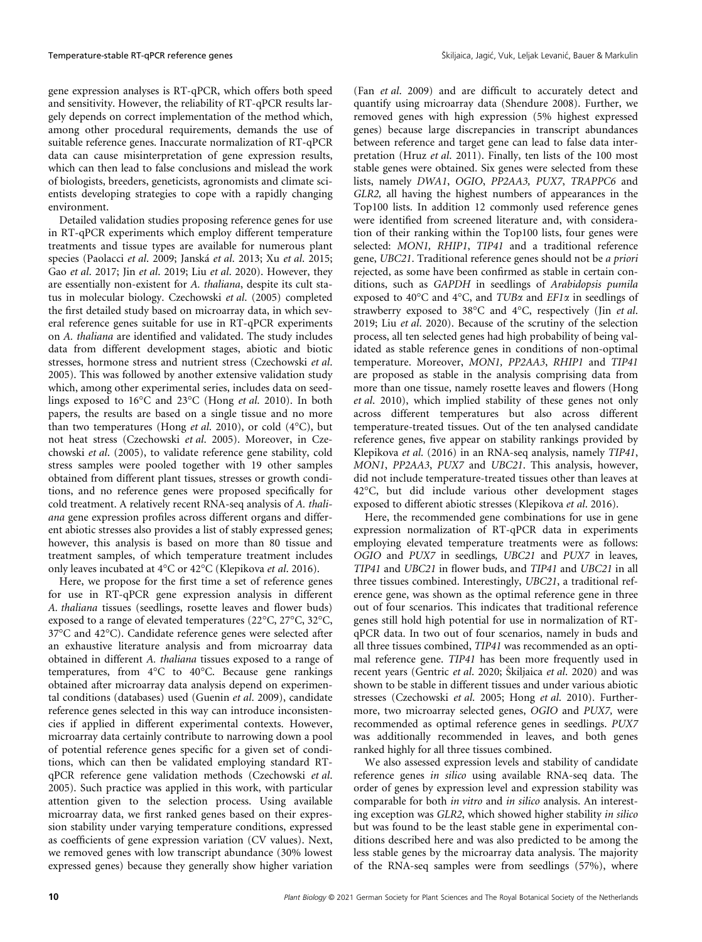gene expression analyses is RT-qPCR, which offers both speed and sensitivity. However, the reliability of RT-qPCR results largely depends on correct implementation of the method which, among other procedural requirements, demands the use of suitable reference genes. Inaccurate normalization of RT-qPCR data can cause misinterpretation of gene expression results, which can then lead to false conclusions and mislead the work of biologists, breeders, geneticists, agronomists and climate scientists developing strategies to cope with a rapidly changing environment.

Detailed validation studies proposing reference genes for use in RT-qPCR experiments which employ different temperature treatments and tissue types are available for numerous plant species (Paolacci et al. 2009; Janska et al. 2013; Xu et al. 2015; Gao et al. 2017; Jin et al. 2019; Liu et al. 2020). However, they are essentially non-existent for A. thaliana, despite its cult status in molecular biology. Czechowski et al. (2005) completed the first detailed study based on microarray data, in which several reference genes suitable for use in RT-qPCR experiments on A. thaliana are identified and validated. The study includes data from different development stages, abiotic and biotic stresses, hormone stress and nutrient stress (Czechowski et al. 2005). This was followed by another extensive validation study which, among other experimental series, includes data on seedlings exposed to 16°C and 23°C (Hong et al. 2010). In both papers, the results are based on a single tissue and no more than two temperatures (Hong *et al.* 2010), or cold  $(4^{\circ}C)$ , but not heat stress (Czechowski et al. 2005). Moreover, in Czechowski et al. (2005), to validate reference gene stability, cold stress samples were pooled together with 19 other samples obtained from different plant tissues, stresses or growth conditions, and no reference genes were proposed specifically for cold treatment. A relatively recent RNA-seq analysis of A. thaliana gene expression profiles across different organs and different abiotic stresses also provides a list of stably expressed genes; however, this analysis is based on more than 80 tissue and treatment samples, of which temperature treatment includes only leaves incubated at 4°C or 42°C (Klepikova et al. 2016).

Here, we propose for the first time a set of reference genes for use in RT-qPCR gene expression analysis in different A. thaliana tissues (seedlings, rosette leaves and flower buds) exposed to a range of elevated temperatures (22°C, 27°C, 32°C, 37°C and 42°C). Candidate reference genes were selected after an exhaustive literature analysis and from microarray data obtained in different A. thaliana tissues exposed to a range of temperatures, from 4°C to 40°C. Because gene rankings obtained after microarray data analysis depend on experimental conditions (databases) used (Guenin et al. 2009), candidate reference genes selected in this way can introduce inconsistencies if applied in different experimental contexts. However, microarray data certainly contribute to narrowing down a pool of potential reference genes specific for a given set of conditions, which can then be validated employing standard RTqPCR reference gene validation methods (Czechowski et al. 2005). Such practice was applied in this work, with particular attention given to the selection process. Using available microarray data, we first ranked genes based on their expression stability under varying temperature conditions, expressed as coefficients of gene expression variation (CV values). Next, we removed genes with low transcript abundance (30% lowest expressed genes) because they generally show higher variation

(Fan et al. 2009) and are difficult to accurately detect and quantify using microarray data (Shendure 2008). Further, we removed genes with high expression (5% highest expressed genes) because large discrepancies in transcript abundances between reference and target gene can lead to false data interpretation (Hruz et al. 2011). Finally, ten lists of the 100 most stable genes were obtained. Six genes were selected from these lists, namely DWA1, OGIO, PP2AA3, PUX7, TRAPPC6 and GLR2, all having the highest numbers of appearances in the Top100 lists. In addition 12 commonly used reference genes were identified from screened literature and, with consideration of their ranking within the Top100 lists, four genes were selected: MON1, RHIP1, TIP41 and a traditional reference gene, UBC21. Traditional reference genes should not be a priori rejected, as some have been confirmed as stable in certain conditions, such as GAPDH in seedlings of Arabidopsis pumila exposed to 40 $\degree$ C and 4 $\degree$ C, and TUB $\alpha$  and EF1 $\alpha$  in seedlings of strawberry exposed to 38°C and 4°C, respectively (Jin et al. 2019; Liu et al. 2020). Because of the scrutiny of the selection process, all ten selected genes had high probability of being validated as stable reference genes in conditions of non-optimal temperature. Moreover, MON1, PP2AA3, RHIP1 and TIP41 are proposed as stable in the analysis comprising data from more than one tissue, namely rosette leaves and flowers (Hong et al. 2010), which implied stability of these genes not only across different temperatures but also across different temperature-treated tissues. Out of the ten analysed candidate reference genes, five appear on stability rankings provided by Klepikova et al. (2016) in an RNA-seq analysis, namely TIP41, MON1, PP2AA3, PUX7 and UBC21. This analysis, however, did not include temperature-treated tissues other than leaves at 42°C, but did include various other development stages exposed to different abiotic stresses (Klepikova et al. 2016).

Here, the recommended gene combinations for use in gene expression normalization of RT-qPCR data in experiments employing elevated temperature treatments were as follows: OGIO and PUX7 in seedlings, UBC21 and PUX7 in leaves, TIP41 and UBC21 in flower buds, and TIP41 and UBC21 in all three tissues combined. Interestingly, UBC21, a traditional reference gene, was shown as the optimal reference gene in three out of four scenarios. This indicates that traditional reference genes still hold high potential for use in normalization of RTqPCR data. In two out of four scenarios, namely in buds and all three tissues combined, TIP41 was recommended as an optimal reference gene. TIP41 has been more frequently used in recent years (Gentric *et al.* 2020; Skiliaica *et al.* 2020) and was shown to be stable in different tissues and under various abiotic stresses (Czechowski et al. 2005; Hong et al. 2010). Furthermore, two microarray selected genes, OGIO and PUX7, were recommended as optimal reference genes in seedlings. PUX7 was additionally recommended in leaves, and both genes ranked highly for all three tissues combined.

We also assessed expression levels and stability of candidate reference genes in silico using available RNA-seq data. The order of genes by expression level and expression stability was comparable for both in vitro and in silico analysis. An interesting exception was GLR2, which showed higher stability in silico but was found to be the least stable gene in experimental conditions described here and was also predicted to be among the less stable genes by the microarray data analysis. The majority of the RNA-seq samples were from seedlings (57%), where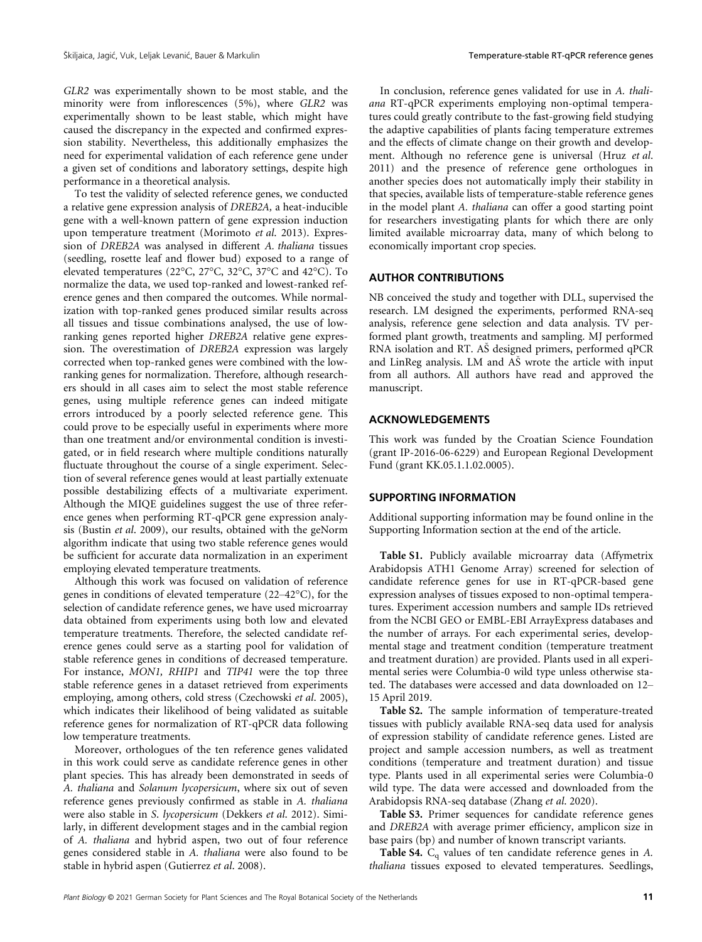GLR2 was experimentally shown to be most stable, and the minority were from inflorescences (5%), where GLR2 was experimentally shown to be least stable, which might have caused the discrepancy in the expected and confirmed expression stability. Nevertheless, this additionally emphasizes the need for experimental validation of each reference gene under a given set of conditions and laboratory settings, despite high performance in a theoretical analysis.

To test the validity of selected reference genes, we conducted a relative gene expression analysis of DREB2A, a heat-inducible gene with a well-known pattern of gene expression induction upon temperature treatment (Morimoto et al. 2013). Expression of DREB2A was analysed in different A. thaliana tissues (seedling, rosette leaf and flower bud) exposed to a range of elevated temperatures (22°C, 27°C, 32°C, 37°C and 42°C). To normalize the data, we used top-ranked and lowest-ranked reference genes and then compared the outcomes. While normalization with top-ranked genes produced similar results across all tissues and tissue combinations analysed, the use of lowranking genes reported higher DREB2A relative gene expression. The overestimation of DREB2A expression was largely corrected when top-ranked genes were combined with the lowranking genes for normalization. Therefore, although researchers should in all cases aim to select the most stable reference genes, using multiple reference genes can indeed mitigate errors introduced by a poorly selected reference gene. This could prove to be especially useful in experiments where more than one treatment and/or environmental condition is investigated, or in field research where multiple conditions naturally fluctuate throughout the course of a single experiment. Selection of several reference genes would at least partially extenuate possible destabilizing effects of a multivariate experiment. Although the MIQE guidelines suggest the use of three reference genes when performing RT-qPCR gene expression analysis (Bustin et al. 2009), our results, obtained with the geNorm algorithm indicate that using two stable reference genes would be sufficient for accurate data normalization in an experiment employing elevated temperature treatments.

Although this work was focused on validation of reference genes in conditions of elevated temperature (22–42°C), for the selection of candidate reference genes, we have used microarray data obtained from experiments using both low and elevated temperature treatments. Therefore, the selected candidate reference genes could serve as a starting pool for validation of stable reference genes in conditions of decreased temperature. For instance, MON1, RHIP1 and TIP41 were the top three stable reference genes in a dataset retrieved from experiments employing, among others, cold stress (Czechowski et al. 2005), which indicates their likelihood of being validated as suitable reference genes for normalization of RT-qPCR data following low temperature treatments.

Moreover, orthologues of the ten reference genes validated in this work could serve as candidate reference genes in other plant species. This has already been demonstrated in seeds of A. thaliana and Solanum lycopersicum, where six out of seven reference genes previously confirmed as stable in A. thaliana were also stable in S. lycopersicum (Dekkers et al. 2012). Similarly, in different development stages and in the cambial region of A. thaliana and hybrid aspen, two out of four reference genes considered stable in A. thaliana were also found to be stable in hybrid aspen (Gutierrez et al. 2008).

In conclusion, reference genes validated for use in A. thaliana RT-qPCR experiments employing non-optimal temperatures could greatly contribute to the fast-growing field studying the adaptive capabilities of plants facing temperature extremes and the effects of climate change on their growth and development. Although no reference gene is universal (Hruz et al. 2011) and the presence of reference gene orthologues in another species does not automatically imply their stability in that species, available lists of temperature-stable reference genes in the model plant A. thaliana can offer a good starting point for researchers investigating plants for which there are only limited available microarray data, many of which belong to economically important crop species.

# AUTHOR CONTRIBUTIONS

NB conceived the study and together with DLL, supervised the research. LM designed the experiments, performed RNA-seq analysis, reference gene selection and data analysis. TV performed plant growth, treatments and sampling. MJ performed RNA isolation and RT. AS designed primers, performed qPCR and LinReg analysis. LM and AS wrote the article with input from all authors. All authors have read and approved the manuscript.

# ACKNOWLEDGEMENTS

This work was funded by the Croatian Science Foundation (grant IP-2016-06-6229) and European Regional Development Fund (grant KK.05.1.1.02.0005).

# SUPPORTING INFORMATION

Additional supporting information may be found online in the Supporting Information section at the end of the article.

Table S1. Publicly available microarray data (Affymetrix Arabidopsis ATH1 Genome Array) screened for selection of candidate reference genes for use in RT-qPCR-based gene expression analyses of tissues exposed to non-optimal temperatures. Experiment accession numbers and sample IDs retrieved from the NCBI GEO or EMBL-EBI ArrayExpress databases and the number of arrays. For each experimental series, developmental stage and treatment condition (temperature treatment and treatment duration) are provided. Plants used in all experimental series were Columbia-0 wild type unless otherwise stated. The databases were accessed and data downloaded on 12– 15 April 2019.

Table S2. The sample information of temperature-treated tissues with publicly available RNA-seq data used for analysis of expression stability of candidate reference genes. Listed are project and sample accession numbers, as well as treatment conditions (temperature and treatment duration) and tissue type. Plants used in all experimental series were Columbia-0 wild type. The data were accessed and downloaded from the Arabidopsis RNA-seq database (Zhang et al. 2020).

Table S3. Primer sequences for candidate reference genes and DREB2A with average primer efficiency, amplicon size in base pairs (bp) and number of known transcript variants.

**Table S4.**  $C_q$  values of ten candidate reference genes in A. thaliana tissues exposed to elevated temperatures. Seedlings,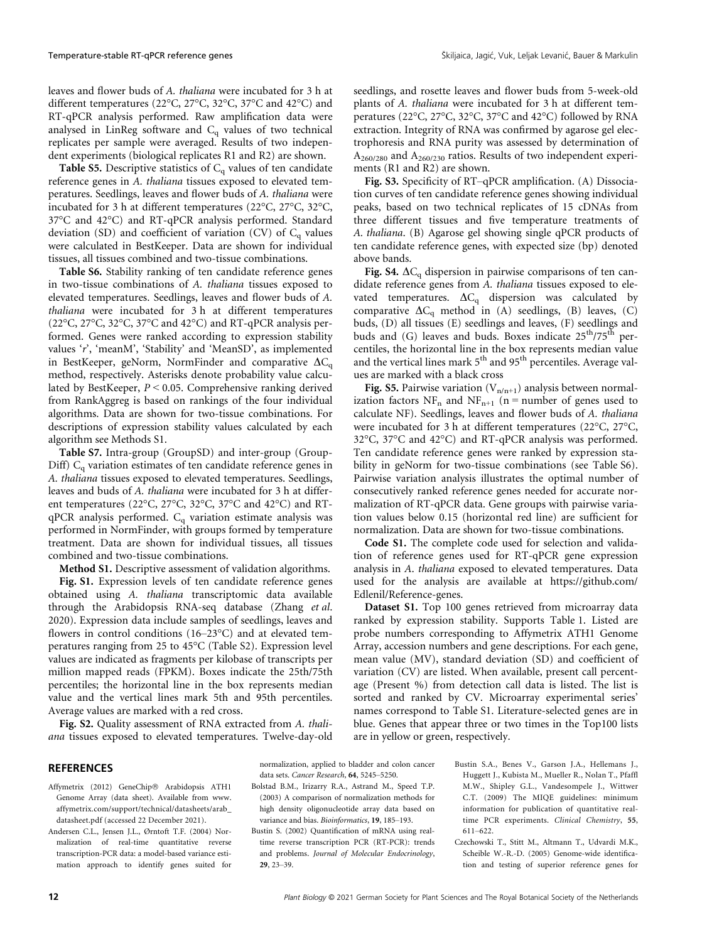leaves and flower buds of A. thaliana were incubated for 3 h at different temperatures (22°C, 27°C, 32°C, 37°C and 42°C) and RT-qPCR analysis performed. Raw amplification data were analysed in LinReg software and  $\emph{\emph{C}}_{\text{q}}$  values of two technical replicates per sample were averaged. Results of two independent experiments (biological replicates R1 and R2) are shown.

Table S5. Descriptive statistics of  $C_q$  values of ten candidate reference genes in A. thaliana tissues exposed to elevated temperatures. Seedlings, leaves and flower buds of A. thaliana were incubated for 3 h at different temperatures (22°C, 27°C, 32°C, 37°C and 42°C) and RT-qPCR analysis performed. Standard deviation (SD) and coefficient of variation (CV) of  $C_q$  values were calculated in BestKeeper. Data are shown for individual tissues, all tissues combined and two-tissue combinations.

Table S6. Stability ranking of ten candidate reference genes in two-tissue combinations of A. thaliana tissues exposed to elevated temperatures. Seedlings, leaves and flower buds of A. thaliana were incubated for 3 h at different temperatures (22°C, 27°C, 32°C, 37°C and 42°C) and RT-qPCR analysis performed. Genes were ranked according to expression stability values 'r', 'meanM', 'Stability' and 'MeanSD', as implemented in BestKeeper, geNorm, NormFinder and comparative  $\Delta C_q$ method, respectively. Asterisks denote probability value calculated by BestKeeper, P < 0.05. Comprehensive ranking derived from RankAggreg is based on rankings of the four individual algorithms. Data are shown for two-tissue combinations. For descriptions of expression stability values calculated by each algorithm see Methods S1.

Table S7. Intra-group (GroupSD) and inter-group (Group-Diff)  $C<sub>q</sub>$  variation estimates of ten candidate reference genes in A. thaliana tissues exposed to elevated temperatures. Seedlings, leaves and buds of A. thaliana were incubated for 3 h at different temperatures (22°C, 27°C, 32°C, 37°C and 42°C) and RT $qPCR$  analysis performed.  $C_q$  variation estimate analysis was performed in NormFinder, with groups formed by temperature treatment. Data are shown for individual tissues, all tissues combined and two-tissue combinations.

Method S1. Descriptive assessment of validation algorithms.

Fig. S1. Expression levels of ten candidate reference genes obtained using A. thaliana transcriptomic data available through the Arabidopsis RNA-seq database (Zhang et al. 2020). Expression data include samples of seedlings, leaves and flowers in control conditions (16–23°C) and at elevated temperatures ranging from 25 to 45°C (Table S2). Expression level values are indicated as fragments per kilobase of transcripts per million mapped reads (FPKM). Boxes indicate the 25th/75th percentiles; the horizontal line in the box represents median value and the vertical lines mark 5th and 95th percentiles. Average values are marked with a red cross.

Fig. S2. Quality assessment of RNA extracted from A. thaliana tissues exposed to elevated temperatures. Twelve-day-old seedlings, and rosette leaves and flower buds from 5-week-old plants of A. thaliana were incubated for 3 h at different temperatures (22°C, 27°C, 32°C, 37°C and 42°C) followed by RNA extraction. Integrity of RNA was confirmed by agarose gel electrophoresis and RNA purity was assessed by determination of  $A_{260/280}$  and  $A_{260/230}$  ratios. Results of two independent experiments (R1 and R2) are shown.

Fig. S3. Specificity of RT–qPCR amplification. (A) Dissociation curves of ten candidate reference genes showing individual peaks, based on two technical replicates of 15 cDNAs from three different tissues and five temperature treatments of A. thaliana. (B) Agarose gel showing single qPCR products of ten candidate reference genes, with expected size (bp) denoted above bands.

Fig. S4.  $\Delta C_q$  dispersion in pairwise comparisons of ten candidate reference genes from A. thaliana tissues exposed to elevated temperatures.  $\Delta C_q$  dispersion was calculated by comparative  $\Delta C_q$  method in (A) seedlings, (B) leaves, (C) buds, (D) all tissues (E) seedlings and leaves, (F) seedlings and buds and (G) leaves and buds. Boxes indicate  $25<sup>th</sup>/75<sup>th</sup>$  percentiles, the horizontal line in the box represents median value and the vertical lines mark 5<sup>th</sup> and 95<sup>th</sup> percentiles. Average values are marked with a black cross

Fig. S5. Pairwise variation  $(V_{n/n+1})$  analysis between normalization factors  $NF_n$  and  $NF_{n+1}$  (n = number of genes used to calculate NF). Seedlings, leaves and flower buds of A. thaliana were incubated for 3 h at different temperatures (22°C, 27°C, 32°C, 37°C and 42°C) and RT-qPCR analysis was performed. Ten candidate reference genes were ranked by expression stability in geNorm for two-tissue combinations (see Table S6). Pairwise variation analysis illustrates the optimal number of consecutively ranked reference genes needed for accurate normalization of RT-qPCR data. Gene groups with pairwise variation values below 0.15 (horizontal red line) are sufficient for normalization. Data are shown for two-tissue combinations.

Code S1. The complete code used for selection and validation of reference genes used for RT-qPCR gene expression analysis in A. thaliana exposed to elevated temperatures. Data used for the analysis are available at https://github.com/ Edlenil/Reference-genes.

Dataset S1. Top 100 genes retrieved from microarray data ranked by expression stability. Supports Table 1. Listed are probe numbers corresponding to Affymetrix ATH1 Genome Array, accession numbers and gene descriptions. For each gene, mean value (MV), standard deviation (SD) and coefficient of variation (CV) are listed. When available, present call percentage (Present %) from detection call data is listed. The list is sorted and ranked by CV. Microarray experimental series' names correspond to Table S1. Literature-selected genes are in blue. Genes that appear three or two times in the Top100 lists are in yellow or green, respectively.

## **REFERENCES**

- Affymetrix (2012) GeneChip<sup>®</sup> Arabidopsis ATH1 Genome Array (data sheet). Available from www. affymetrix.com/support/technical/datasheets/arab\_ datasheet.pdf (accessed 22 December 2021).
- Andersen C.L., Jensen J.L., Ørntoft T.F. (2004) Normalization of real-time quantitative reverse transcription-PCR data: a model-based variance estimation approach to identify genes suited for

normalization, applied to bladder and colon cancer data sets. Cancer Research, 64, 5245–5250.

- Bolstad B.M., Irizarry R.A., Astrand M., Speed T.P. (2003) A comparison of normalization methods for high density oligonucleotide array data based on variance and bias. Bioinformatics, 19, 185–193.
- Bustin S. (2002) Quantification of mRNA using realtime reverse transcription PCR (RT-PCR): trends and problems. Journal of Molecular Endocrinology, 29, 23–39.
- Bustin S.A., Benes V., Garson J.A., Hellemans J., Huggett J., Kubista M., Mueller R., Nolan T., Pfaffl M.W., Shipley G.L., Vandesompele J., Wittwer C.T. (2009) The MIQE guidelines: minimum information for publication of quantitative realtime PCR experiments. Clinical Chemistry, 55, 611–622.
- Czechowski T., Stitt M., Altmann T., Udvardi M.K., Scheible W.-R.-D. (2005) Genome-wide identification and testing of superior reference genes for